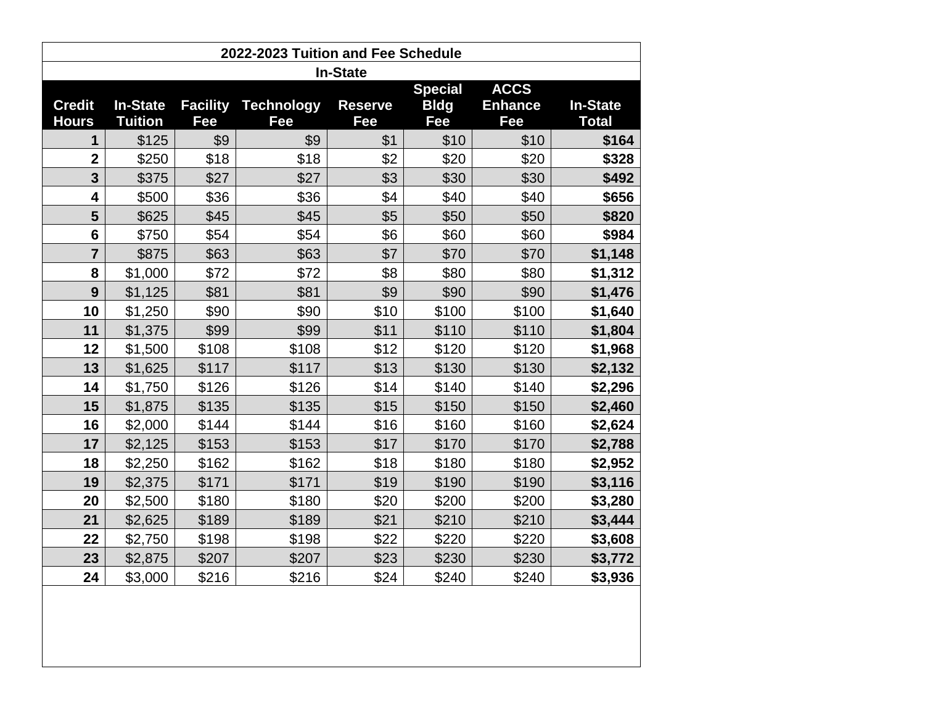| 2022-2023 Tuition and Fee Schedule |                                   |                        |                          |                       |                    |                       |                                 |  |  |  |  |
|------------------------------------|-----------------------------------|------------------------|--------------------------|-----------------------|--------------------|-----------------------|---------------------------------|--|--|--|--|
| <b>In-State</b>                    |                                   |                        |                          |                       |                    |                       |                                 |  |  |  |  |
|                                    |                                   |                        |                          |                       | <b>Special</b>     | <b>ACCS</b>           |                                 |  |  |  |  |
| <b>Credit</b><br><b>Hours</b>      | <b>In-State</b><br><b>Tuition</b> | <b>Facility</b><br>Fee | <b>Technology</b><br>Fee | <b>Reserve</b><br>Fee | <b>Bldg</b><br>Fee | <b>Enhance</b><br>Fee | <b>In-State</b><br><b>Total</b> |  |  |  |  |
| 1                                  | \$125                             | \$9                    | \$9                      | \$1                   | \$10               | \$10                  | \$164                           |  |  |  |  |
| $\overline{2}$                     | \$250                             | \$18                   | \$18                     | \$2                   | \$20               | \$20                  | \$328                           |  |  |  |  |
| 3                                  | \$375                             | \$27                   | \$27                     | \$3                   | \$30               | \$30                  | \$492                           |  |  |  |  |
| 4                                  | \$500                             | \$36                   | \$36                     | \$4                   | \$40               | \$40                  | \$656                           |  |  |  |  |
| 5                                  | \$625                             | \$45                   | \$45                     | \$5                   | \$50               | \$50                  | \$820                           |  |  |  |  |
| $6\phantom{1}$                     | \$750                             | \$54                   | \$54                     | \$6                   | \$60               | \$60                  | \$984                           |  |  |  |  |
| $\overline{7}$                     | \$875                             | \$63                   | \$63                     | \$7                   | \$70               | \$70                  | \$1,148                         |  |  |  |  |
| 8                                  | \$1,000                           | \$72                   | \$72                     | \$8                   | \$80               | \$80                  | \$1,312                         |  |  |  |  |
| 9                                  | \$1,125                           | \$81                   | \$81                     | \$9                   | \$90               | \$90                  | \$1,476                         |  |  |  |  |
| 10                                 | \$1,250                           | \$90                   | \$90                     | \$10                  | \$100              | \$100                 | \$1,640                         |  |  |  |  |
| 11                                 | \$1,375                           | \$99                   | \$99                     | \$11                  | \$110              | \$110                 | \$1,804                         |  |  |  |  |
| 12                                 | \$1,500                           | \$108                  | \$108                    | \$12                  | \$120              | \$120                 | \$1,968                         |  |  |  |  |
| 13                                 | \$1,625                           | \$117                  | \$117                    | \$13                  | \$130              | \$130                 | \$2,132                         |  |  |  |  |
| 14                                 | \$1,750                           | \$126                  | \$126                    | \$14                  | \$140              | \$140                 | \$2,296                         |  |  |  |  |
| 15                                 | \$1,875                           | \$135                  | \$135                    | \$15                  | \$150              | \$150                 | \$2,460                         |  |  |  |  |
| 16                                 | \$2,000                           | \$144                  | \$144                    | \$16                  | \$160              | \$160                 | \$2,624                         |  |  |  |  |
| 17                                 | \$2,125                           | \$153                  | \$153                    | \$17                  | \$170              | \$170                 | \$2,788                         |  |  |  |  |
| 18                                 | \$2,250                           | \$162                  | \$162                    | \$18                  | \$180              | \$180                 | \$2,952                         |  |  |  |  |
| 19                                 | \$2,375                           | \$171                  | \$171                    | \$19                  | \$190              | \$190                 | \$3,116                         |  |  |  |  |
| 20                                 | \$2,500                           | \$180                  | \$180                    | \$20                  | \$200              | \$200                 | \$3,280                         |  |  |  |  |
| 21                                 | \$2,625                           | \$189                  | \$189                    | \$21                  | \$210              | \$210                 | \$3,444                         |  |  |  |  |
| 22                                 | \$2,750                           | \$198                  | \$198                    | \$22                  | \$220              | \$220                 | \$3,608                         |  |  |  |  |
| 23                                 | \$2,875                           | \$207                  | \$207                    | \$23                  | \$230              | \$230                 | \$3,772                         |  |  |  |  |
| 24                                 | \$3,000                           | \$216                  | \$216                    | \$24                  | \$240              | \$240                 | \$3,936                         |  |  |  |  |